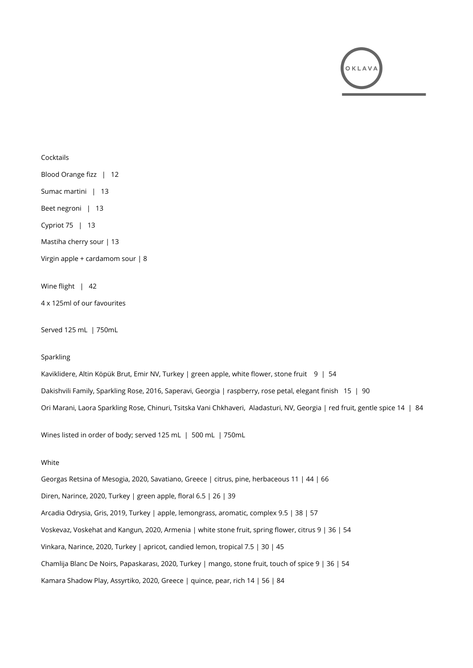

# Cocktails Blood Orange fizz | 12 Sumac martini | 13 Beet negroni | 13 Cypriot 75 | 13 Mastiha cherry sour | 13 Virgin apple + cardamom sour | 8 Wine flight | 42 4 x 125ml of our favourites

Served 125 mL | 750mL

#### Sparkling

Kaviklidere, Altin Köpük Brut, Emir NV, Turkey | green apple, white flower, stone fruit 9 | 54 Dakishvili Family, Sparkling Rose, 2016, Saperavi, Georgia | raspberry, rose petal, elegant finish 15 | 90 Ori Marani, Laora Sparkling Rose, Chinuri, Tsitska Vani Chkhaveri, Aladasturi, NV, Georgia | red fruit, gentle spice 14 | 84

Wines listed in order of body; served 125 mL | 500 mL | 750mL

## White

Georgas Retsina of Mesogia, 2020, Savatiano, Greece | citrus, pine, herbaceous 11 | 44 | 66 Diren, Narince, 2020, Turkey | green apple, floral 6.5 | 26 | 39 Arcadia Odrysia, Gris, 2019, Turkey | apple, lemongrass, aromatic, complex 9.5 | 38 | 57 Voskevaz, Voskehat and Kangun, 2020, Armenia | white stone fruit, spring flower, citrus 9 | 36 | 54 Vinkara, Narince, 2020, Turkey | apricot, candied lemon, tropical 7.5 | 30 | 45 Chamlija Blanc De Noirs, Papaskarası, 2020, Turkey | mango, stone fruit, touch of spice 9 | 36 | 54 Kamara Shadow Play, Assyrtiko, 2020, Greece | quince, pear, rich 14 | 56 | 84